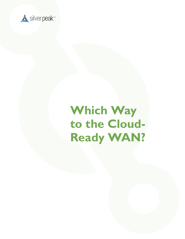

## **Which Way to the Cloud-Ready WAN?**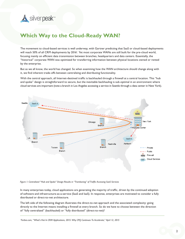

## **Which Way to the Cloud-Ready WAN?**

The movement to cloud-based services is well underway, with Gartner predicting that SaaS or cloud-based deployments will reach 50% of all CRM deployments by 2016<sup>1</sup>. Yet most corporate WANs are still built for the pre-cloud world, focusing mainly on efficient data transmission between branches, headquarters and data centers. Essentially, the "historical" corporate WAN was optimized for transferring information between physical locations owned or rented by the enterprise.

But as we all know, the world has changed. So when examining how the WAN architecture should change along with it, we find inherent trade-offs between centralizing and distributing functionality.

With the central approach, all Internet-destined traffic is backhauled through a firewall at a central location. This "hub and spoke" design is straightforward to secure, but the inevitable backhauling is sub-optimal in an environment where cloud services are important (note a branch in Los Angeles accessing a service in Seattle through a data center in New York).



*Figure 1: Centralized "Hub and Spoke" Design Results in "Tromboning" of Traffic Accessing SaaS Services*

In many enterprises today, cloud applications are generating the majority of traffic, driven by the continued adoption of software and infrastructure-as-a-service (SaaS and IaaS). In response, enterprises are motivated to consider a fully distributed or direct-to-net architecture.

The left side of the following diagram illustrates the direct-to-net approach and the associated complexity: going directly to the Internet means installing a firewall at every branch. So do we have to choose between the direction of "fully centralized" (backhauled) or "fully distributed" (direct-to-net)?

*1 Forbes.com, "What's Hot In CRM Applications, 2015: Why CPQ Continues To Accelerate," April 12, 2015*